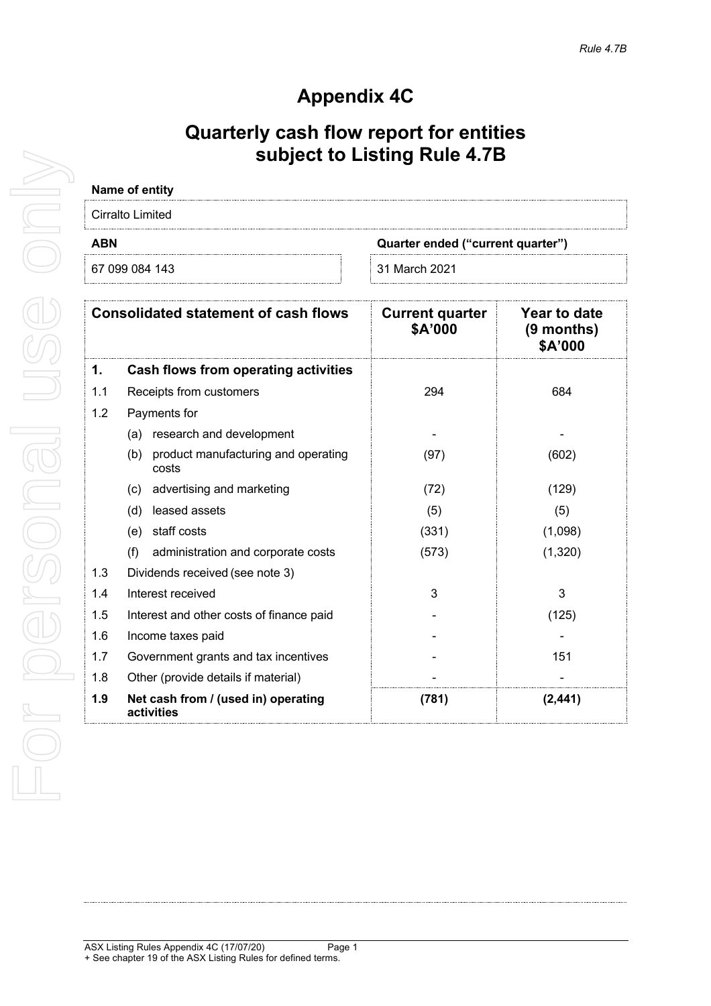# **Appendix 4C**

# **Quarterly cash flow report for entities subject to Listing Rule 4.7B**

| Name of entity                              |                                   |                                                      |
|---------------------------------------------|-----------------------------------|------------------------------------------------------|
| Cirralto Limited                            |                                   |                                                      |
| <b>ABN</b>                                  | Quarter ended ("current quarter") |                                                      |
| 67 099 084 143                              | 31 March 2021                     |                                                      |
| <b>Consolidated statement of cash flows</b> | <b>Current quarter</b><br>\$A'000 | <b>Year to date</b><br>$(9$ months)<br><b>MON'A2</b> |

|     |                                                     |       | \$A'000  |
|-----|-----------------------------------------------------|-------|----------|
| 1.  | <b>Cash flows from operating activities</b>         |       |          |
| 1.1 | Receipts from customers                             | 294   | 684      |
| 1.2 | Payments for                                        |       |          |
|     | research and development<br>(a)                     |       |          |
|     | product manufacturing and operating<br>(b)<br>costs | (97)  | (602)    |
|     | advertising and marketing<br>(c)                    | (72)  | (129)    |
|     | (d)<br>leased assets                                | (5)   | (5)      |
|     | staff costs<br>(e)                                  | (331) | (1,098)  |
|     | (f)<br>administration and corporate costs           | (573) | (1,320)  |
| 1.3 | Dividends received (see note 3)                     |       |          |
| 1.4 | Interest received                                   | 3     | 3        |
| 1.5 | Interest and other costs of finance paid            |       | (125)    |
| 1.6 | Income taxes paid                                   |       |          |
| 1.7 | Government grants and tax incentives                |       | 151      |
| 1.8 | Other (provide details if material)                 |       |          |
| 1.9 | Net cash from / (used in) operating<br>activities   | (781) | (2, 441) |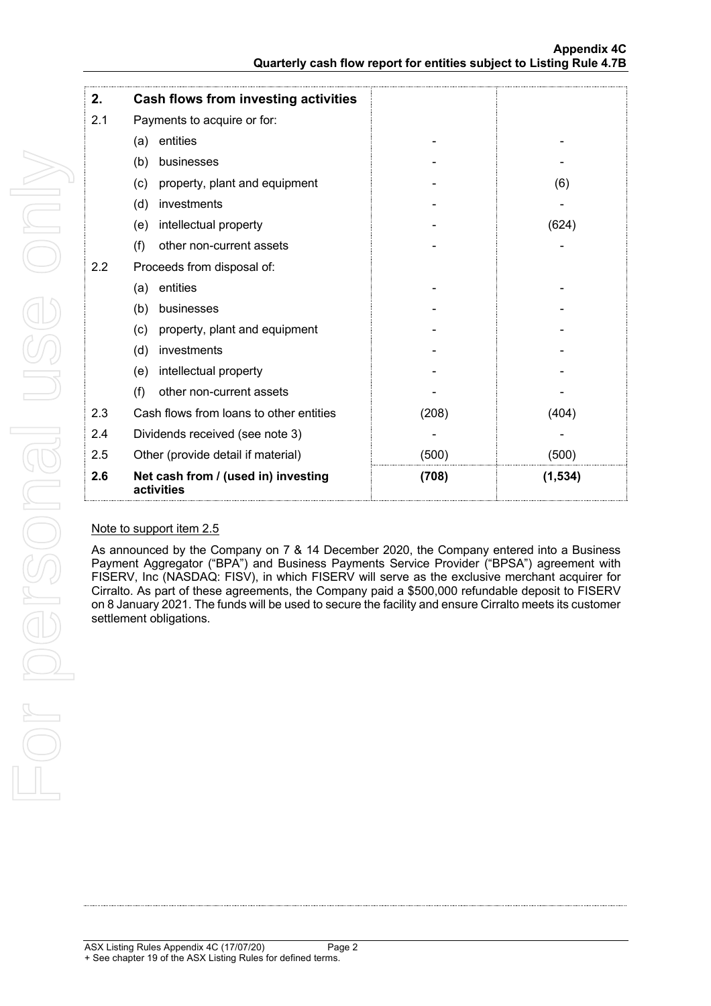| 2.  | <b>Cash flows from investing activities</b>       |       |          |
|-----|---------------------------------------------------|-------|----------|
| 2.1 | Payments to acquire or for:                       |       |          |
|     | entities<br>(a)                                   |       |          |
|     | (b)<br>businesses                                 |       |          |
|     | (c)<br>property, plant and equipment              |       | (6)      |
|     | investments<br>(d)                                |       |          |
|     | intellectual property<br>(e)                      |       | (624)    |
|     | (f)<br>other non-current assets                   |       |          |
| 2.2 | Proceeds from disposal of:                        |       |          |
|     | entities<br>(a)                                   |       |          |
|     | businesses<br>(b)                                 |       |          |
|     | property, plant and equipment<br>(c)              |       |          |
|     | investments<br>(d)                                |       |          |
|     | intellectual property<br>(e)                      |       |          |
|     | (f)<br>other non-current assets                   |       |          |
| 2.3 | Cash flows from loans to other entities           | (208) | (404)    |
| 2.4 | Dividends received (see note 3)                   |       |          |
| 2.5 | Other (provide detail if material)                | (500) | (500)    |
| 2.6 | Net cash from / (used in) investing<br>activities | (708) | (1, 534) |

## Note to support item 2.5

As announced by the Company on 7 & 14 December 2020, the Company entered into a Business Payment Aggregator ("BPA") and Business Payments Service Provider ("BPSA") agreement with FISERV, Inc (NASDAQ: FISV), in which FISERV will serve as the exclusive merchant acquirer for Cirralto. As part of these agreements, the Company paid a \$500,000 refundable deposit to FISERV on 8 January 2021. The funds will be used to secure the facility and ensure Cirralto meets its customer settlement obligations.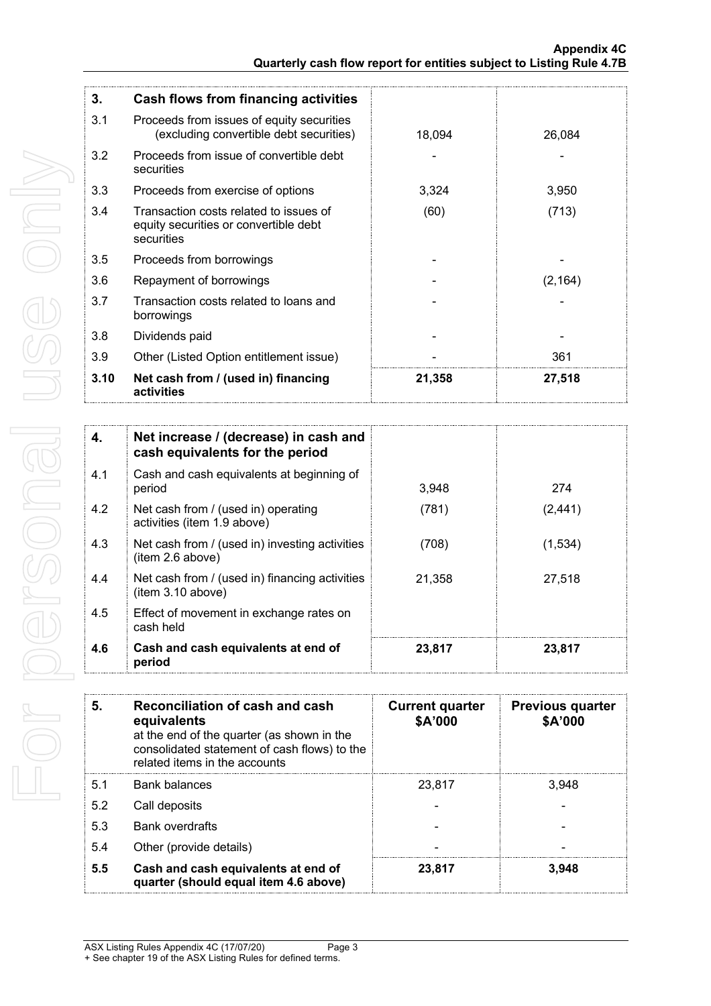| 3.   | <b>Cash flows from financing activities</b>                                                   |        |          |
|------|-----------------------------------------------------------------------------------------------|--------|----------|
| 3.1  | Proceeds from issues of equity securities<br>(excluding convertible debt securities)          | 18,094 | 26,084   |
| 3.2  | Proceeds from issue of convertible debt<br>securities                                         |        |          |
| 3.3  | Proceeds from exercise of options                                                             | 3,324  | 3,950    |
| 3.4  | Transaction costs related to issues of<br>equity securities or convertible debt<br>securities | (60)   | (713)    |
| 3.5  | Proceeds from borrowings                                                                      |        |          |
| 3.6  | Repayment of borrowings                                                                       |        | (2, 164) |
| 3.7  | Transaction costs related to loans and<br>borrowings                                          |        |          |
| 3.8  | Dividends paid                                                                                |        |          |
| 3.9  | Other (Listed Option entitlement issue)                                                       |        | 361      |
| 3.10 | Net cash from / (used in) financing<br>activities                                             | 21,358 | 27,518   |

| 4.  | Net increase / (decrease) in cash and<br>cash equivalents for the period |        |          |
|-----|--------------------------------------------------------------------------|--------|----------|
| 4.1 | Cash and cash equivalents at beginning of<br>period                      | 3.948  | 274      |
| 4.2 | Net cash from / (used in) operating<br>activities (item 1.9 above)       | (781)  | (2, 441) |
| 4.3 | Net cash from / (used in) investing activities<br>(item 2.6 above)       | (708)  | (1,534)  |
| 4.4 | Net cash from / (used in) financing activities<br>(item 3.10 above)      | 21,358 | 27,518   |
| 4.5 | Effect of movement in exchange rates on<br>cash held                     |        |          |
| 4.6 | Cash and cash equivalents at end of<br>period                            | 23,817 | 23,817   |

| 5.  | Reconciliation of cash and cash<br>equivalents<br>at the end of the quarter (as shown in the<br>consolidated statement of cash flows) to the<br>related items in the accounts | <b>Current quarter</b><br>\$A'000 | <b>Previous quarter</b><br>\$A'000 |
|-----|-------------------------------------------------------------------------------------------------------------------------------------------------------------------------------|-----------------------------------|------------------------------------|
| 5.1 | <b>Bank balances</b>                                                                                                                                                          | 23.817                            | 3.948                              |
| 5.2 | Call deposits                                                                                                                                                                 |                                   |                                    |
| 5.3 | <b>Bank overdrafts</b>                                                                                                                                                        |                                   |                                    |
| 5.4 | Other (provide details)                                                                                                                                                       |                                   |                                    |
| 5.5 | Cash and cash equivalents at end of<br>quarter (should equal item 4.6 above)                                                                                                  | 23,817                            | 3,948                              |

ASX Listing Rules Appendix 4C (17/07/20) Page 3 + See chapter 19 of the ASX Listing Rules for defined terms.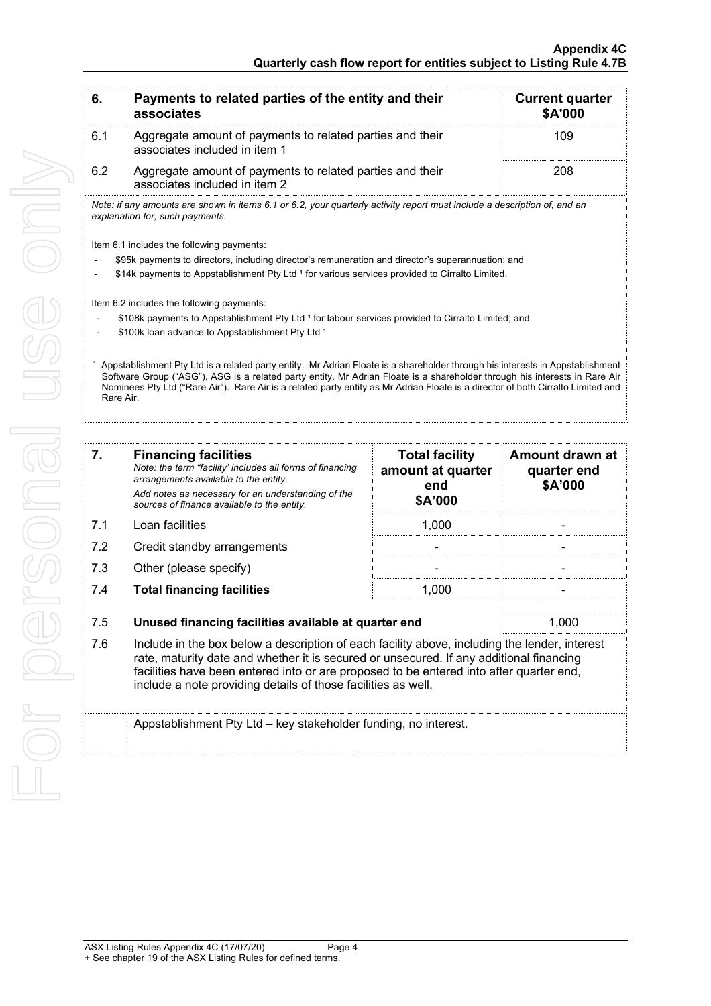| 6.        | Payments to related parties of the entity and their<br>associates                                                                                                                                                                                                                                                                                                                                            |                                            | <b>Current quarter</b><br>\$A'000 |
|-----------|--------------------------------------------------------------------------------------------------------------------------------------------------------------------------------------------------------------------------------------------------------------------------------------------------------------------------------------------------------------------------------------------------------------|--------------------------------------------|-----------------------------------|
| 6.1       | Aggregate amount of payments to related parties and their<br>associates included in item 1                                                                                                                                                                                                                                                                                                                   |                                            | 109                               |
| 6.2       | Aggregate amount of payments to related parties and their<br>associates included in item 2                                                                                                                                                                                                                                                                                                                   |                                            | 208                               |
|           | Note: if any amounts are shown in items 6.1 or 6.2, your quarterly activity report must include a description of, and an<br>explanation for, such payments.                                                                                                                                                                                                                                                  |                                            |                                   |
|           | Item 6.1 includes the following payments:                                                                                                                                                                                                                                                                                                                                                                    |                                            |                                   |
|           | \$95k payments to directors, including director's remuneration and director's superannuation; and                                                                                                                                                                                                                                                                                                            |                                            |                                   |
|           | \$14k payments to Appstablishment Pty Ltd 1 for various services provided to Cirralto Limited.                                                                                                                                                                                                                                                                                                               |                                            |                                   |
|           |                                                                                                                                                                                                                                                                                                                                                                                                              |                                            |                                   |
|           | Item 6.2 includes the following payments:<br>\$108k payments to Appstablishment Pty Ltd 1 for labour services provided to Cirralto Limited; and                                                                                                                                                                                                                                                              |                                            |                                   |
|           | \$100k loan advance to Appstablishment Pty Ltd <sup>1</sup>                                                                                                                                                                                                                                                                                                                                                  |                                            |                                   |
|           |                                                                                                                                                                                                                                                                                                                                                                                                              |                                            |                                   |
| Rare Air. | <sup>1</sup> Appstablishment Pty Ltd is a related party entity. Mr Adrian Floate is a shareholder through his interests in Appstablishment<br>Software Group ("ASG"). ASG is a related party entity. Mr Adrian Floate is a shareholder through his interests in Rare Air<br>Nominees Pty Ltd ("Rare Air"). Rare Air is a related party entity as Mr Adrian Floate is a director of both Cirralto Limited and |                                            |                                   |
|           |                                                                                                                                                                                                                                                                                                                                                                                                              |                                            |                                   |
| 7.        | <b>Financing facilities</b><br>Note: the term "facility' includes all forms of financing                                                                                                                                                                                                                                                                                                                     | <b>Total facility</b><br>amount at quarter | Amount drawn at<br>quarter end    |
|           | arrangements available to the entity.<br>Add notes as necessary for an understanding of the<br>sources of finance available to the entity.                                                                                                                                                                                                                                                                   | end<br>\$A'000                             | \$A'000                           |
| 7.1       | Loan facilities                                                                                                                                                                                                                                                                                                                                                                                              | 1,000                                      |                                   |
| 7.2       | Credit standby arrangements                                                                                                                                                                                                                                                                                                                                                                                  |                                            |                                   |
| 7.3       | Other (please specify)                                                                                                                                                                                                                                                                                                                                                                                       |                                            |                                   |
| 7.4       | <b>Total financing facilities</b>                                                                                                                                                                                                                                                                                                                                                                            | 1,000                                      |                                   |
| 7.5       | Unused financing facilities available at quarter end                                                                                                                                                                                                                                                                                                                                                         |                                            | 1,000                             |
| 7.6       | Include in the box below a description of each facility above, including the lender, interest<br>rate, maturity date and whether it is secured or unsecured. If any additional financing<br>facilities have been entered into or are proposed to be entered into after quarter end,<br>include a note providing details of those facilities as well.                                                         |                                            |                                   |
|           | Appstablishment Pty Ltd - key stakeholder funding, no interest.                                                                                                                                                                                                                                                                                                                                              |                                            |                                   |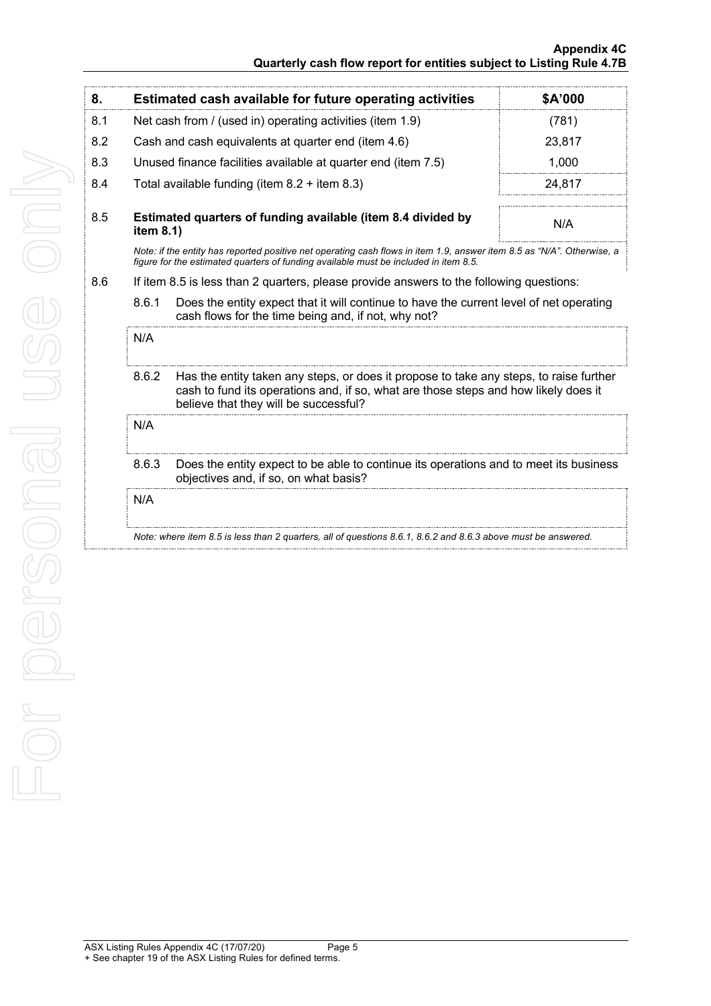### **Appendix 4C Quarterly cash flow report for entities subject to Listing Rule 4.7B**

| 8.  |                                                                                                                                                                                                                                 | <b>Estimated cash available for future operating activities</b>                                                                                                                                                | \$A'000 |  |
|-----|---------------------------------------------------------------------------------------------------------------------------------------------------------------------------------------------------------------------------------|----------------------------------------------------------------------------------------------------------------------------------------------------------------------------------------------------------------|---------|--|
| 8.1 | Net cash from / (used in) operating activities (item 1.9)                                                                                                                                                                       |                                                                                                                                                                                                                | (781)   |  |
| 8.2 | Cash and cash equivalents at quarter end (item 4.6)                                                                                                                                                                             |                                                                                                                                                                                                                | 23,817  |  |
| 8.3 | Unused finance facilities available at quarter end (item 7.5)                                                                                                                                                                   |                                                                                                                                                                                                                | 1,000   |  |
| 8.4 | Total available funding (item $8.2 +$ item $8.3$ )                                                                                                                                                                              |                                                                                                                                                                                                                | 24,817  |  |
| 8.5 | item 8.1)                                                                                                                                                                                                                       | Estimated quarters of funding available (item 8.4 divided by                                                                                                                                                   | N/A     |  |
|     |                                                                                                                                                                                                                                 | Note: if the entity has reported positive net operating cash flows in item 1.9, answer item 8.5 as "N/A". Otherwise, a<br>figure for the estimated guarters of funding available must be included in item 8.5. |         |  |
| 8.6 |                                                                                                                                                                                                                                 | If item 8.5 is less than 2 quarters, please provide answers to the following questions:                                                                                                                        |         |  |
|     | 8.6.1<br>Does the entity expect that it will continue to have the current level of net operating<br>cash flows for the time being and, if not, why not?                                                                         |                                                                                                                                                                                                                |         |  |
|     | N/A                                                                                                                                                                                                                             |                                                                                                                                                                                                                |         |  |
|     | 8.6.2<br>Has the entity taken any steps, or does it propose to take any steps, to raise further<br>cash to fund its operations and, if so, what are those steps and how likely does it<br>believe that they will be successful? |                                                                                                                                                                                                                |         |  |
|     | N/A                                                                                                                                                                                                                             |                                                                                                                                                                                                                |         |  |
|     | 8.6.3<br>Does the entity expect to be able to continue its operations and to meet its business<br>objectives and, if so, on what basis?                                                                                         |                                                                                                                                                                                                                |         |  |
|     | N/A                                                                                                                                                                                                                             |                                                                                                                                                                                                                |         |  |
|     |                                                                                                                                                                                                                                 | Note: where item 8.5 is less than 2 quarters, all of questions 8.6.1, 8.6.2 and 8.6.3 above must be answered.                                                                                                  |         |  |